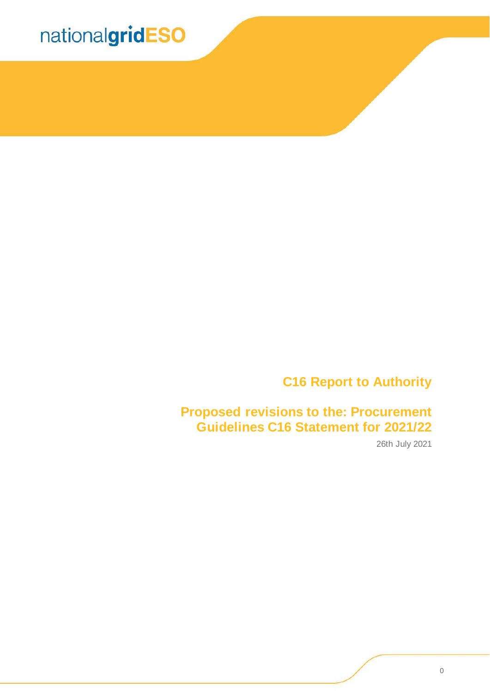

### **C16 Report to Authority**

**Proposed revisions to the: Procurement Guidelines C16 Statement for 2021/22**

26th July 2021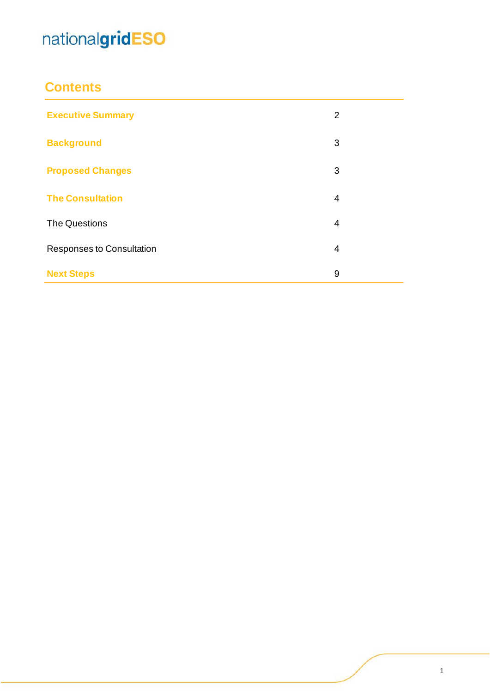### **Contents**

| <b>Executive Summary</b>  | 2 |
|---------------------------|---|
| <b>Background</b>         | 3 |
| <b>Proposed Changes</b>   | 3 |
| <b>The Consultation</b>   | 4 |
| <b>The Questions</b>      | 4 |
| Responses to Consultation | 4 |
| <b>Next Steps</b>         | 9 |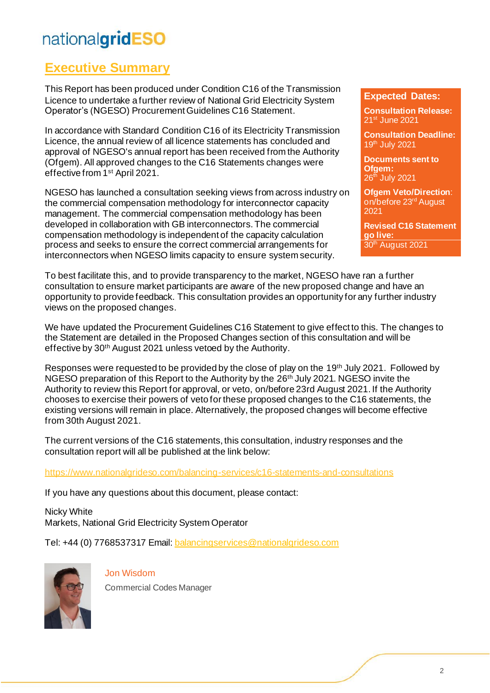### **Executive Summary**

This Report has been produced under Condition C16 of the Transmission Licence to undertake a further review of National Grid Electricity System Operator's (NGESO) Procurement Guidelines C16 Statement.

In accordance with Standard Condition C16 of its Electricity Transmission Licence, the annual review of all licence statements has concluded and approval of NGESO's annual report has been received from the Authority (Ofgem). All approved changes to the C16 Statements changes were effective from 1st April 2021.

NGESO has launched a consultation seeking views from across industry on the commercial compensation methodology for interconnector capacity management. The commercial compensation methodology has been developed in collaboration with GB interconnectors. The commercial compensation methodology is independent of the capacity calculation process and seeks to ensure the correct commercial arrangements for interconnectors when NGESO limits capacity to ensure system security.

#### **Expected Dates:**

**Consultation Release:**  21st June 2021

**Consultation Deadline:** 19 th July 2021

**Documents sent to Ofgem:** 26<sup>th</sup> July 2021

**Ofgem Veto/Direction**: on/before 23rd August 2021

**Revised C16 Statement go live:** 30<sup>th</sup> August 2021

To best facilitate this, and to provide transparency to the market, NGESO have ran a further consultation to ensure market participants are aware of the new proposed change and have an opportunity to provide feedback. This consultation provides an opportunity for any further industry views on the proposed changes.

We have updated the Procurement Guidelines C16 Statement to give effect to this. The changes to the Statement are detailed in the Proposed Changes section of this consultation and will be effective by 30th August 2021 unless vetoed by the Authority.

Responses were requested to be provided by the close of play on the 19<sup>th</sup> July 2021. Followed by NGESO preparation of this Report to the Authority by the 26th July 2021. NGESO invite the Authority to review this Report for approval, or veto, on/before 23rd August 2021. If the Authority chooses to exercise their powers of veto for these proposed changes to the C16 statements, the existing versions will remain in place. Alternatively, the proposed changes will become effective from 30th August 2021.

The current versions of the C16 statements, this consultation, industry responses and the consultation report will all be published at the link below:

<https://www.nationalgrideso.com/balancing-services/c16-statements-and-consultations>

If you have any questions about this document, please contact:

Nicky White Markets, National Grid Electricity System Operator

Tel: +44 (0) 7768537317 Email[: balancingservices@nationalgrideso.com](mailto:balancingservices@nationalgrideso.com)



Jon Wisdom

Commercial Codes Manager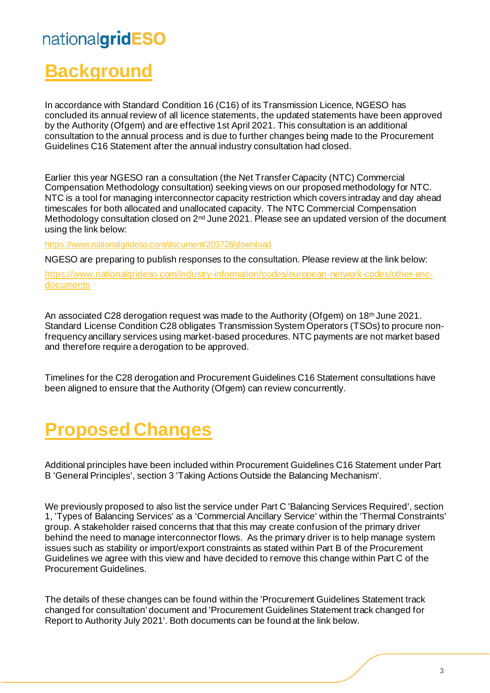## **Background**

In accordance with Standard Condition 16 (C16) of its Transmission Licence, NGESO has concluded its annual review of all licence statements, the updated statements have been approved by the Authority (Ofgem) and are effective 1st April 2021. This consultation is an additional consultation to the annual process and is due to further changes being made to the Procurement Guidelines C16 Statement after the annual industry consultation had closed.

Earlier this year NGESO ran a consultation (the Net Transfer Capacity (NTC) Commercial Compensation Methodology consultation) seeking views on our proposed methodology for NTC. NTC is a tool for managing interconnector capacity restriction which covers intraday and day ahead timescales for both allocated and unallocated capacity. The NTC Commercial Compensation Methodology consultation closed on 2<sup>nd</sup> June 2021. Please see an updated version of the document using the link below:

<https://www.nationalgrideso.com/document/203726/download>

NGESO are preparing to publish responses to the consultation. Please review at the link below:

https://www.nationalgrideso.com/industry-information/codes/european-network-codes/other-encdocuments

An associated C28 derogation request was made to the Authority (Ofgem) on 18<sup>th</sup> June 2021. Standard License Condition C28 obligates Transmission System Operators (TSOs) to procure nonfrequency ancillary services using market-based procedures. NTC payments are not market based and therefore require a derogation to be approved.

Timelines for the C28 derogation and Procurement Guidelines C16 Statement consultations have been aligned to ensure that the Authority (Ofgem) can review concurrently.

## **Proposed Changes**

Additional principles have been included within Procurement Guidelines C16 Statement under Part B 'General Principles', section 3 'Taking Actions Outside the Balancing Mechanism'.

We previously proposed to also list the service under Part C 'Balancing Services Required', section 1, 'Types of Balancing Services' as a 'Commercial Ancillary Service' within the 'Thermal Constraints' group. A stakeholder raised concerns that that this may create confusion of the primary driver behind the need to manage interconnector flows. As the primary driver is to help manage system issues such as stability or import/export constraints as stated within Part B of the Procurement Guidelines we agree with this view and have decided to remove this change within Part C of the Procurement Guidelines.

The details of these changes can be found within the 'Procurement Guidelines Statement track changed for consultation' document and 'Procurement Guidelines Statement track changed for Report to Authority July 2021'. Both documents can be found at the link below.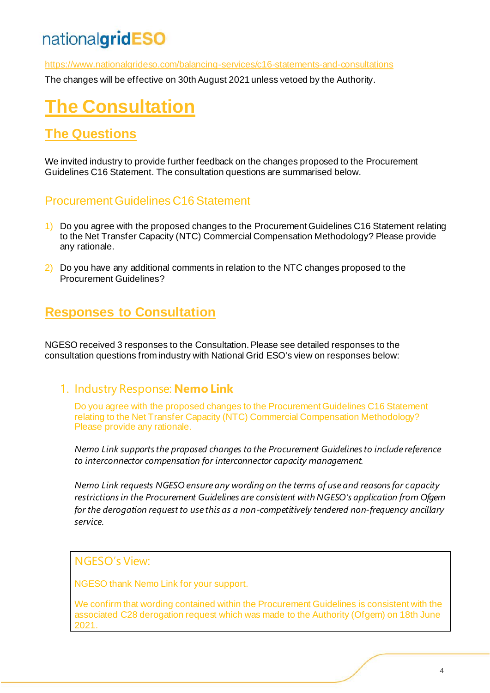<https://www.nationalgrideso.com/balancing-services/c16-statements-and-consultations>

The changes will be effective on 30th August 2021 unless vetoed by the Authority.

## **The Consultation**

### **The Questions**

We invited industry to provide further feedback on the changes proposed to the Procurement Guidelines C16 Statement. The consultation questions are summarised below.

#### Procurement Guidelines C16 Statement

- 1) Do you agree with the proposed changes to the Procurement Guidelines C16 Statement relating to the Net Transfer Capacity (NTC) Commercial Compensation Methodology? Please provide any rationale.
- 2) Do you have any additional comments in relation to the NTC changes proposed to the Procurement Guidelines?

### **Responses to Consultation**

NGESO received 3 responses to the Consultation. Please see detailed responses to the consultation questions from industry with National Grid ESO's view on responses below:

#### 1. Industry Response: **Nemo Link**

Do you agree with the proposed changes to the Procurement Guidelines C16 Statement relating to the Net Transfer Capacity (NTC) Commercial Compensation Methodology? Please provide any rationale.

*Nemo Link supports the proposed changes to the Procurement Guidelines to include reference to interconnector compensation for interconnector capacity management.*

*Nemo Link requests NGESO ensure any wording on the terms of use and reasons for capacity restrictions in the Procurement Guidelines are consistent with NGESO's application from Ofgem for the derogation request to use this as a non-competitively tendered non-frequency ancillary service.*

#### NGESO's View:

NGESO thank Nemo Link for your support.

We confirm that wording contained within the Procurement Guidelines is consistent with the associated C28 derogation request which was made to the Authority (Ofgem) on 18th June 2021.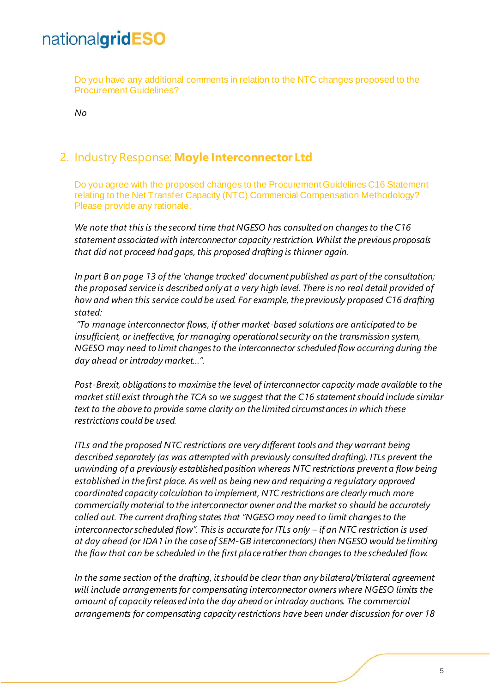Do you have any additional comments in relation to the NTC changes proposed to the Procurement Guidelines?

*No*

#### 2. Industry Response: **Moyle Interconnector Ltd**

Do you agree with the proposed changes to the Procurement Guidelines C16 Statement relating to the Net Transfer Capacity (NTC) Commercial Compensation Methodology? Please provide any rationale.

*We note that this is the second time that NGESO has consulted on changes to the C16 statement associated with interconnector capacity restriction. Whilst the previous proposals that did not proceed had gaps, this proposed drafting is thinner again.* 

*In part B on page 13 of the 'change tracked' document published as part of the consultation; the proposed service is described only at a very high level. There is no real detail provided of how and when this service could be used. For example, the previously proposed C16 drafting stated:* 

*"To manage interconnector flows, if other market-based solutions are anticipated to be insufficient, or ineffective, for managing operational security on the transmission system, NGESO may need to limit changes to the interconnector scheduled flow occurring during the day ahead or intraday market…".*

*Post-Brexit, obligations to maximise the level of interconnector capacity made available to the market still exist through the TCA so we suggest that the C16 statement should include similar text to the above to provide some clarity on the limited circumstances in which these restrictions could be used.*

*ITLs and the proposed NTC restrictions are very different tools and they warrant being described separately (as was attempted with previously consulted drafting). ITLs prevent the unwinding of a previously established position whereas NTC restrictions prevent a flow being established in the first place. As well as being new and requiring a regulatory approved coordinated capacity calculation to implement, NTC restrictions are clearly much more commercially material to the interconnector owner and the market so should be accurately called out. The current drafting states that "NGESO may need to limit changes to the interconnector scheduled flow". This is accurate for ITLs only – if an NTC restriction is used at day ahead (or IDA1 in the case of SEM-GB interconnectors) then NGESO would be limiting the flow that can be scheduled in the first place rather than changes to the scheduled flow.*

*In the same section of the drafting, it should be clear than any bilateral/trilateral agreement will include arrangements for compensating interconnector owners where NGESO limits the amount of capacity released into the day ahead or intraday auctions. The commercial arrangements for compensating capacity restrictions have been under discussion for over 18*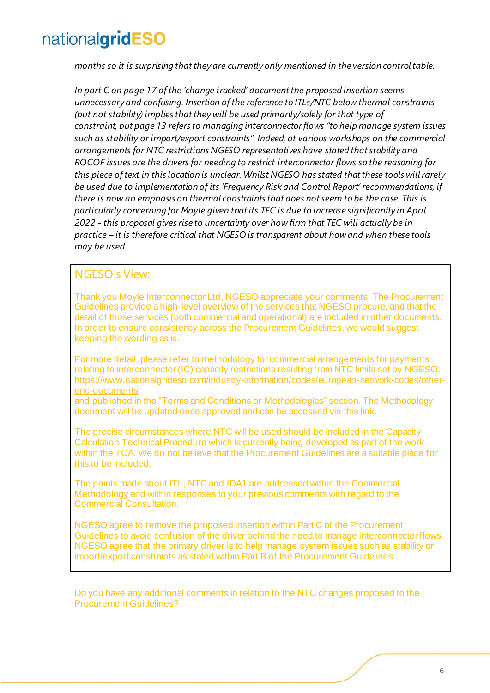*months so it is surprising that they are currently only mentioned in the version control table.* 

*In part C on page 17 of the 'change tracked' document the proposed insertion seems unnecessary and confusing. Insertion of the reference to ITLs/NTC below thermal constraints (but not stability) implies that they will be used primarily/solely for that type of constraint, but page 13 refers to managing interconnector flows "to help manage system issues such as stability or import/export constraints". Indeed, at various workshops on the commercial arrangements for NTC restrictions NGESO representatives have stated that stability and ROCOF issues are the drivers for needing to restrict interconnector flows so the reasoning for this piece of text in this location is unclear. Whilst NGESO has stated that these tools will rarely be used due to implementation of its 'Frequency Risk and Control Report' recommendations, if there is now an emphasis on thermal constraints that does not seem to be the case. This is particularly concerning for Moyle given that its TEC is due to increase significantly in April 2022 - this proposal gives rise to uncertainty over how firm that TEC will actually be in practice – it is therefore critical that NGESO is transparent about how and when these tools may be used.*

#### NGESO's View:

Thank you Moyle Interconnector Ltd, NGESO appreciate your comments. The Procurement Guidelines provide a high-level overview of the services that NGESO procure, and that the detail of those services (both commercial and operational) are included in other documents. In order to ensure consistency across the Procurement Guidelines, we would suggest keeping the wording as is.

For more detail, please refer to methodology for commercial arrangements for payments relating to interconnector (IC) capacity restrictions resulting from NTC limits set by NGESO: [https://www.nationalgrideso.com/industry-information/codes/european-network-codes/other](https://www.nationalgrideso.com/industry-information/codes/european-network-codes/other-enc-documents)[enc-documents](https://www.nationalgrideso.com/industry-information/codes/european-network-codes/other-enc-documents)

and published in the "Terms and Conditions or Methodologies" section. The Methodology document will be updated once approved and can be accessed via this link.

The precise circumstances where NTC will be used should be included in the Capacity Calculation Technical Procedure which is currently being developed as part of the work within the TCA. We do not believe that the Procurement Guidelines are a suitable place for this to be included.

The points made about ITL, NTC and IDA1 are addressed within the Commercial Methodology and within responses to your previous comments with regard to the Commercial Consultation.

NGESO agree to remove the proposed insertion within Part C of the Procurement Guidelines to avoid confusion of the driver behind the need to manage interconnector flows. NGESO agree that the primary driver is to help manage system issues such as stability or import/export constraints as stated within Part B of the Procurement Guidelines.

Do you have any additional comments in relation to the NTC changes proposed to the Procurement Guidelines?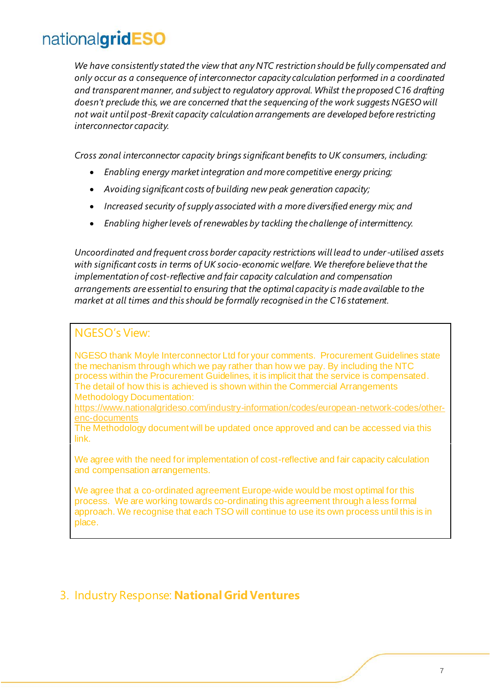*We have consistently stated the view that any NTC restriction should be fully compensated and only occur as a consequence of interconnector capacity calculation performed in a coordinated and transparent manner, and subject to regulatory approval. Whilst the proposed C16 drafting doesn't preclude this, we are concerned that the sequencing of the work suggests NGESO will not wait until post-Brexit capacity calculation arrangements are developed before restricting interconnector capacity.* 

*Cross zonal interconnector capacity brings significant benefits to UK consumers, including:*

- *Enabling energy market integration and more competitive energy pricing;*
- *Avoiding significant costs of building new peak generation capacity;*
- *Increased security of supply associated with a more diversified energy mix; and*
- *Enabling higher levels of renewables by tackling the challenge of intermittency.*

*Uncoordinated and frequent cross border capacity restrictions will lead to under-utilised assets with significant costs in terms of UK socio-economic welfare. We therefore believe that the implementation of cost-reflective and fair capacity calculation and compensation arrangements are essential to ensuring that the optimal capacity is made available to the market at all times and this should be formally recognised in the C16 statement.*

#### NGESO's View:

NGESO thank Moyle Interconnector Ltd for your comments. Procurement Guidelines state the mechanism through which we pay rather than how we pay. By including the NTC process within the Procurement Guidelines, it is implicit that the service is compensated. The detail of how this is achieved is shown within the Commercial Arrangements Methodology Documentation:

[https://www.nationalgrideso.com/industry-information/codes/european-network-codes/other](https://www.nationalgrideso.com/industry-information/codes/european-network-codes/other-enc-documents)[enc-documents](https://www.nationalgrideso.com/industry-information/codes/european-network-codes/other-enc-documents)

The Methodology document will be updated once approved and can be accessed via this link.

We agree with the need for implementation of cost-reflective and fair capacity calculation and compensation arrangements.

We agree that a co-ordinated agreement Europe-wide would be most optimal for this process. We are working towards co-ordinating this agreement through a less formal approach. We recognise that each TSO will continue to use its own process until this is in place.

#### 3. Industry Response: **National Grid Ventures**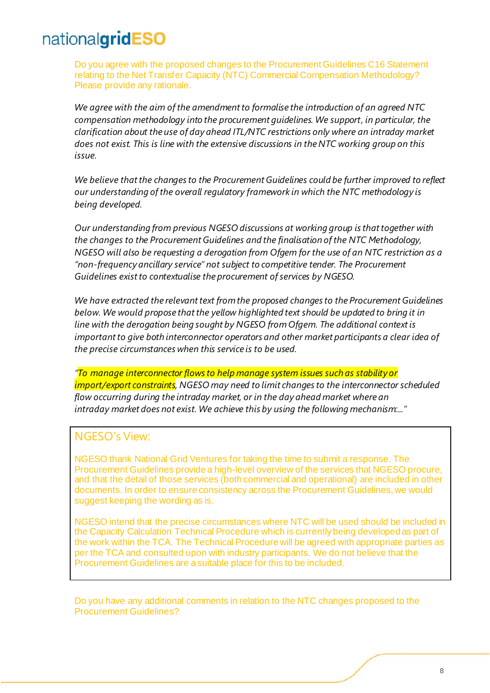Do you agree with the proposed changes to the Procurement Guidelines C16 Statement relating to the Net Transfer Capacity (NTC) Commercial Compensation Methodology? Please provide any rationale.

*We agree with the aim of the amendment to formalise the introduction of an agreed NTC compensation methodology into the procurement guidelines. We support, in particular, the clarification about the use of day ahead ITL/NTC restrictions only where an intraday market does not exist. This is line with the extensive discussions in the NTC working group on this issue.*

*We believe that the changes to the Procurement Guidelines could be further improved to reflect our understanding of the overall regulatory framework in which the NTC methodology is being developed.*

*Our understanding from previous NGESO discussions at working group is that together with the changes to the Procurement Guidelines and the finalisation of the NTC Methodology, NGESO will also be requesting a derogation from Ofgem for the use of an NTC restriction as a "non-frequency ancillary service" not subject to competitive tender. The Procurement Guidelines exist to contextualise the procurement of services by NGESO.*

*We have extracted the relevant text from the proposed changes to the Procurement Guidelines below. We would propose that the yellow highlighted text should be updated to bring it in line with the derogation being sought by NGESO from Ofgem. The additional context is important to give both interconnector operators and other market participants a clear idea of the precise circumstances when this service is to be used.*

*"To manage interconnector flows to help manage system issues such as stability or import/export constraints, NGESO may need to limit changes to the interconnector scheduled flow occurring during the intraday market, or in the day ahead market where an intraday market does not exist. We achieve this by using the following mechanism:..."*

#### NGESO's View:

NGESO thank National Grid Ventures for taking the time to submit a response. The Procurement Guidelines provide a high-level overview of the services that NGESO procure, and that the detail of those services (both commercial and operational) are included in other documents. In order to ensure consistency across the Procurement Guidelines, we would suggest keeping the wording as is.

NGESO intend that the precise circumstances where NTC will be used should be included in the Capacity Calculation Technical Procedure which is currently being developed as part of the work within the TCA. The Technical Procedure will be agreed with appropriate parties as per the TCA and consulted upon with industry participants. We do not believe that the Procurement Guidelines are a suitable place for this to be included.

Do you have any additional comments in relation to the NTC changes proposed to the Procurement Guidelines?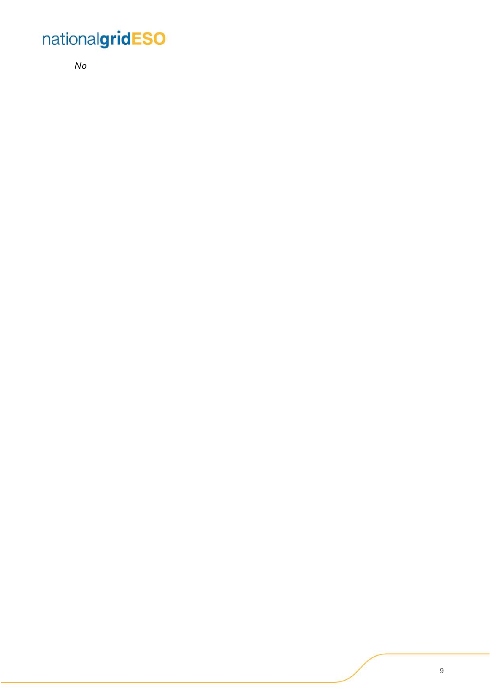*No*